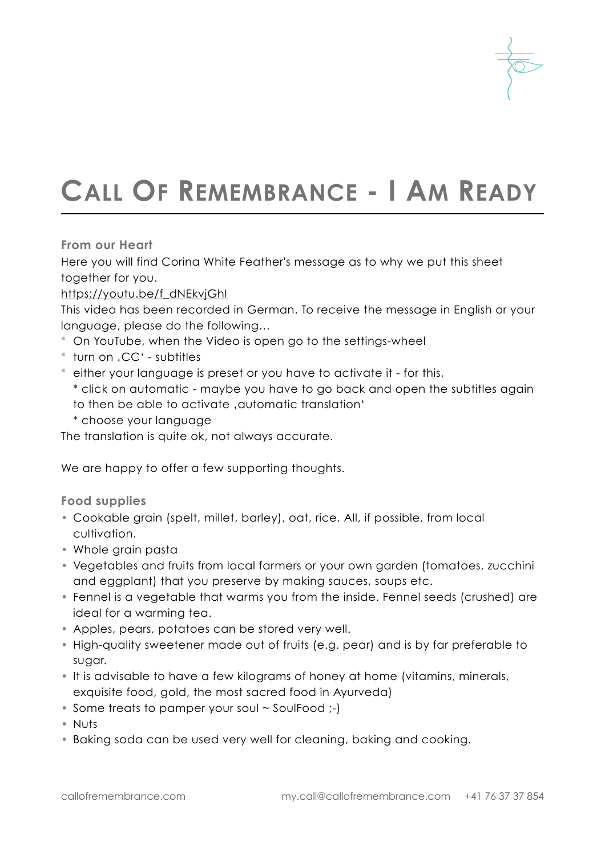

# **CALL OF REMEMBRANCE - I AM READY**

**From our Heart**

Here you will find Corina White Feather's message as to why we put this sheet together for you.

### [https://youtu.be/f\\_dNEkvjGhI](https://youtu.be/f_dNEkvjGhI)

This video has been recorded in German. To receive the message in English or your language, please do the following…

- \* On YouTube, when the Video is open go to the settings-wheel
- \* turn on 'CC' subtitles
- \* either your language is preset or you have to activate it for this,

\* click on automatic - maybe you have to go back and open the subtitles again to then be able to activate , automatic translation'

\* choose your language

The translation is quite ok, not always accurate.

We are happy to offer a few supporting thoughts.

**Food supplies**

- Cookable grain (spelt, millet, barley), oat, rice. All, if possible, from local cultivation.
- Whole grain pasta
- Vegetables and fruits from local farmers or your own garden (tomatoes, zucchini and eggplant) that you preserve by making sauces, soups etc.
- Fennel is a vegetable that warms you from the inside. Fennel seeds (crushed) are ideal for a warming tea.
- Apples, pears, potatoes can be stored very well.
- High-quality sweetener made out of fruits (e.g. pear) and is by far preferable to sugar.
- It is advisable to have a few kilograms of honey at home (vitamins, minerals, exquisite food, gold, the most sacred food in Ayurveda)
- Some treats to pamper your soul ~ SoulFood :-)
- Nuts
- Baking soda can be used very well for cleaning, baking and cooking.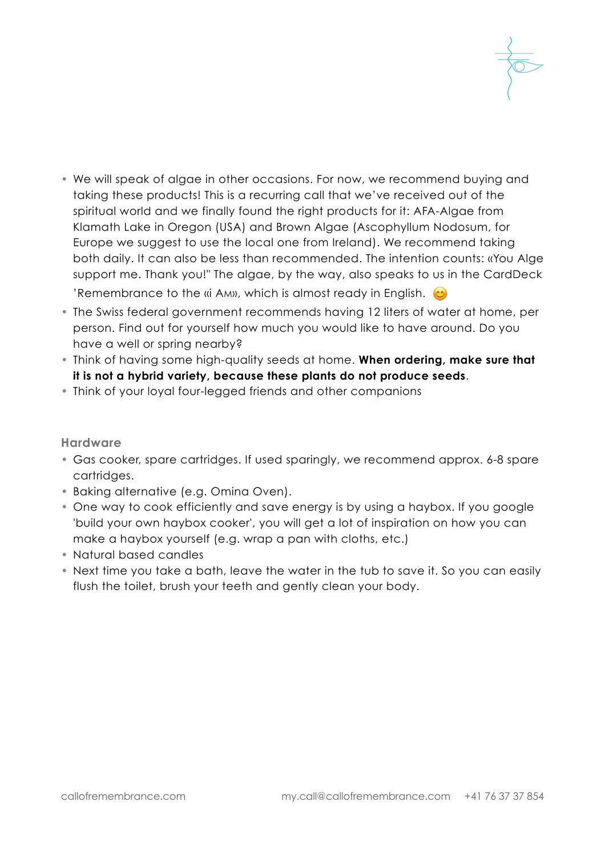

- We will speak of algae in other occasions. For now, we recommend buying and taking these products! This is a recurring call that we've received out of the spiritual world and we finally found the right products for it: AFA-Algae from Klamath Lake in Oregon (USA) and Brown Algae (Ascophyllum Nodosum, for Europe we suggest to use the local one from Ireland). We recommend taking both daily. It can also be less than recommended. The intention counts: «You Alge support me. Thank you!" The algae, by the way, also speaks to us in the CardDeck 'Remembrance to the «i AM», which is almost ready in English.  $\bullet$
- The Swiss federal government recommends having 12 liters of water at home, per person. Find out for yourself how much you would like to have around. Do you have a well or spring nearby?
- Think of having some high-quality seeds at home. **When ordering, make sure that it is not a hybrid variety, because these plants do not produce seeds**.
- Think of your loyal four-legged friends and other companions

# **Hardware**

- Gas cooker, spare cartridges. If used sparingly, we recommend approx. 6-8 spare cartridges.
- Baking alternative (e.g. Omina Oven).
- One way to cook efficiently and save energy is by using a haybox. If you google 'build your own haybox cooker', you will get a lot of inspiration on how you can make a haybox yourself (e.g. wrap a pan with cloths, etc.)
- Natural based candles
- Next time you take a bath, leave the water in the tub to save it. So you can easily flush the toilet, brush your teeth and gently clean your body.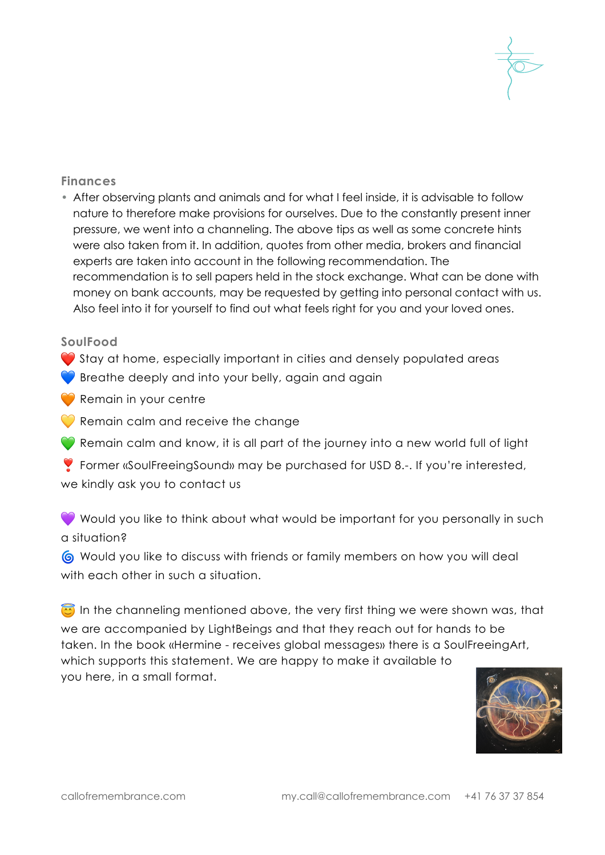

## **Finances**

• After observing plants and animals and for what I feel inside, it is advisable to follow nature to therefore make provisions for ourselves. Due to the constantly present inner pressure, we went into a channeling. The above tips as well as some concrete hints were also taken from it. In addition, quotes from other media, brokers and financial experts are taken into account in the following recommendation. The recommendation is to sell papers held in the stock exchange. What can be done with money on bank accounts, may be requested by getting into personal contact with us. Also feel into it for yourself to find out what feels right for you and your loved ones.

#### **SoulFood**

- $\bullet$  Stay at home, especially important in cities and densely populated areas
- $\bullet$  Breathe deeply and into your belly, again and again
- Remain in your centre
- $\heartsuit$  Remain calm and receive the change
- Remain calm and know, it is all part of the journey into a new world full of light
- ❣ Former «SoulFreeingSound» may be purchased for USD 8.-. If you're interested,

we kindly ask you to contact us

Would you like to think about what would be important for you personally in such a situation?

 Would you like to discuss with friends or family members on how you will deal with each other in such a situation.

In the channeling mentioned above, the very first thing we were shown was, that we are accompanied by LightBeings and that they reach out for hands to be taken. In the book «Hermine - receives global messages» there is a SoulFreeingArt, which supports this statement. We are happy to make it available to you here, in a small format.